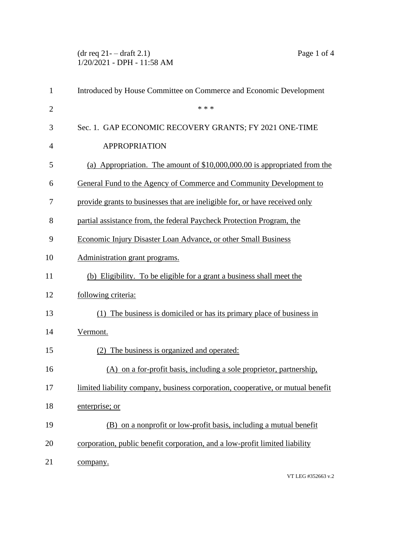$(\text{dr } \text{req } 21 - \text{draff } 2.1)$  Page 1 of 4 1/20/2021 - DPH - 11:58 AM

| $\mathbf{1}$   | Introduced by House Committee on Commerce and Economic Development              |
|----------------|---------------------------------------------------------------------------------|
| $\overline{2}$ | * * *                                                                           |
| 3              | Sec. 1. GAP ECONOMIC RECOVERY GRANTS; FY 2021 ONE-TIME                          |
| 4              | <b>APPROPRIATION</b>                                                            |
| 5              | (a) Appropriation. The amount of $$10,000,000.00$ is appropriated from the      |
| 6              | General Fund to the Agency of Commerce and Community Development to             |
| 7              | provide grants to businesses that are ineligible for, or have received only     |
| 8              | partial assistance from, the federal Paycheck Protection Program, the           |
| 9              | Economic Injury Disaster Loan Advance, or other Small Business                  |
| 10             | Administration grant programs.                                                  |
| 11             | (b) Eligibility. To be eligible for a grant a business shall meet the           |
| 12             | following criteria:                                                             |
| 13             | (1) The business is domiciled or has its primary place of business in           |
| 14             | Vermont.                                                                        |
| 15             | (2) The business is organized and operated:                                     |
| 16             | (A) on a for-profit basis, including a sole proprietor, partnership,            |
| 17             | limited liability company, business corporation, cooperative, or mutual benefit |
| 18             | enterprise; or                                                                  |
| 19             | (B) on a nonprofit or low-profit basis, including a mutual benefit              |
| 20             | corporation, public benefit corporation, and a low-profit limited liability     |
| 21             | company.                                                                        |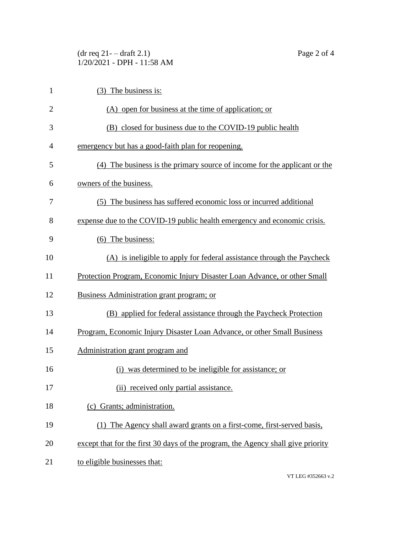| $(dr \text{ req } 21 - dr \text{aff } 2.1)$ |
|---------------------------------------------|
| $1/20/2021$ - DPH - 11:58 AM                |

| $\mathbf{1}$   | $(3)$ The business is:                                                           |
|----------------|----------------------------------------------------------------------------------|
| $\overline{2}$ | (A) open for business at the time of application; or                             |
| 3              | (B) closed for business due to the COVID-19 public health                        |
| 4              | emergency but has a good-faith plan for reopening.                               |
| 5              | (4) The business is the primary source of income for the applicant or the        |
| 6              | owners of the business.                                                          |
| 7              | (5) The business has suffered economic loss or incurred additional               |
| 8              | expense due to the COVID-19 public health emergency and economic crisis.         |
| 9              | $(6)$ The business:                                                              |
| 10             | (A) is ineligible to apply for federal assistance through the Paycheck           |
| 11             | Protection Program, Economic Injury Disaster Loan Advance, or other Small        |
| 12             | Business Administration grant program; or                                        |
| 13             | (B) applied for federal assistance through the Paycheck Protection               |
| 14             | Program, Economic Injury Disaster Loan Advance, or other Small Business          |
| 15             | Administration grant program and                                                 |
| 16             | was determined to be ineligible for assistance; or<br>(i)                        |
| 17             | (ii) received only partial assistance.                                           |
| 18             | (c) Grants; administration.                                                      |
| 19             | (1) The Agency shall award grants on a first-come, first-served basis,           |
| 20             | except that for the first 30 days of the program, the Agency shall give priority |
| 21             | to eligible businesses that:                                                     |

VT LEG #352663 v.2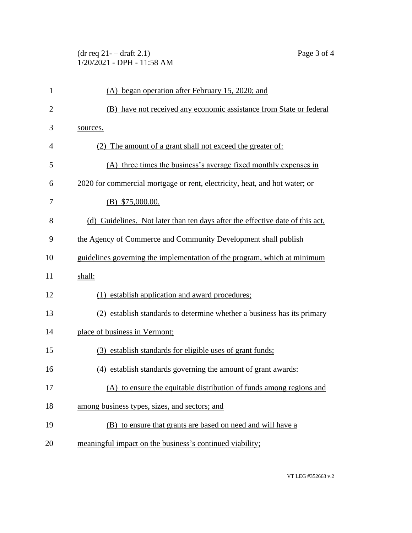## $(\text{dr } \text{req } 21 - \text{draff } 2.1)$  Page 3 of 4 1/20/2021 - DPH - 11:58 AM

| $\mathbf{1}$   | (A) began operation after February 15, 2020; and                              |
|----------------|-------------------------------------------------------------------------------|
| $\overline{2}$ | (B) have not received any economic assistance from State or federal           |
| 3              | sources.                                                                      |
| 4              | (2) The amount of a grant shall not exceed the greater of:                    |
| 5              | (A) three times the business's average fixed monthly expenses in              |
| 6              | 2020 for commercial mortgage or rent, electricity, heat, and hot water; or    |
| 7              | $(B)$ \$75,000.00.                                                            |
| 8              | (d) Guidelines. Not later than ten days after the effective date of this act, |
| 9              | the Agency of Commerce and Community Development shall publish                |
| 10             | guidelines governing the implementation of the program, which at minimum      |
| 11             | shall:                                                                        |
| 12             | establish application and award procedures;                                   |
| 13             | (2) establish standards to determine whether a business has its primary       |
| 14             | place of business in Vermont;                                                 |
| 15             | (3) establish standards for eligible uses of grant funds;                     |
| 16             | (4) establish standards governing the amount of grant awards:                 |
| 17             | (A) to ensure the equitable distribution of funds among regions and           |
| 18             | among business types, sizes, and sectors; and                                 |
| 19             | (B) to ensure that grants are based on need and will have a                   |
| 20             | meaningful impact on the business's continued viability;                      |